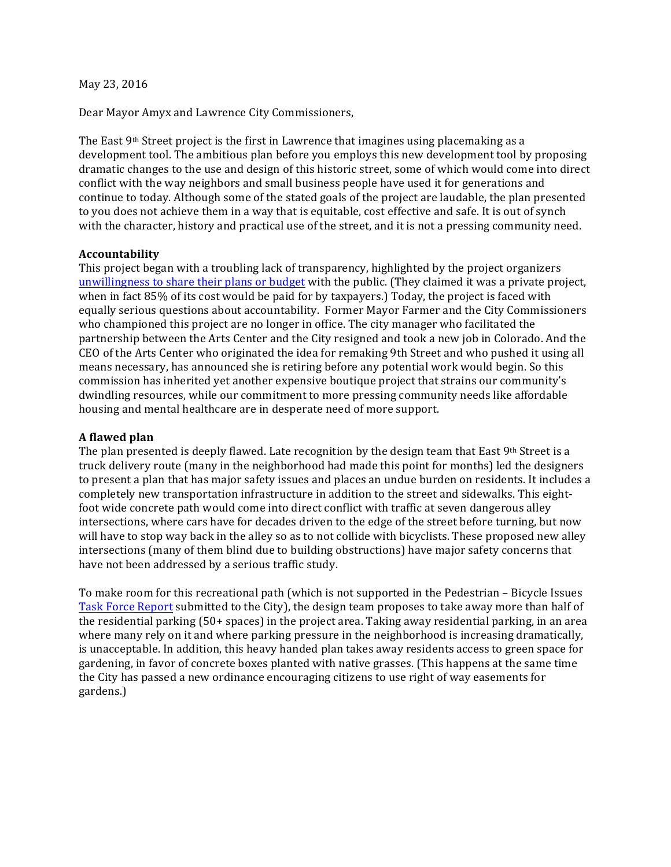#### May 23, 2016

Dear Mayor Amyx and Lawrence City Commissioners,

The East  $9<sup>th</sup>$  Street project is the first in Lawrence that imagines using placemaking as a development tool. The ambitious plan before you employs this new development tool by proposing dramatic changes to the use and design of this historic street, some of which would come into direct conflict with the way neighbors and small business people have used it for generations and continue to today. Although some of the stated goals of the project are laudable, the plan presented to you does not achieve them in a way that is equitable, cost effective and safe. It is out of synch with the character, history and practical use of the street, and it is not a pressing community need.

## **Accountability**

This project began with a troubling lack of transparency, highlighted by the project organizers unwillingness to share their plans or budget with the public. (They claimed it was a private project, when in fact 85% of its cost would be paid for by taxpayers.) Today, the project is faced with equally serious questions about accountability. Former Mayor Farmer and the City Commissioners who championed this project are no longer in office. The city manager who facilitated the partnership between the Arts Center and the City resigned and took a new job in Colorado. And the CEO of the Arts Center who originated the idea for remaking 9th Street and who pushed it using all means necessary, has announced she is retiring before any potential work would begin. So this commission has inherited yet another expensive boutique project that strains our community's dwindling resources, while our commitment to more pressing community needs like affordable housing and mental healthcare are in desperate need of more support.

# **A flawed plan**

The plan presented is deeply flawed. Late recognition by the design team that East 9th Street is a truck delivery route (many in the neighborhood had made this point for months) led the designers to present a plan that has major safety issues and places an undue burden on residents. It includes a completely new transportation infrastructure in addition to the street and sidewalks. This eightfoot wide concrete path would come into direct conflict with traffic at seven dangerous alley intersections, where cars have for decades driven to the edge of the street before turning, but now will have to stop way back in the alley so as to not collide with bicyclists. These proposed new alley intersections (many of them blind due to building obstructions) have major safety concerns that have not been addressed by a serious traffic study.

To make room for this recreational path (which is not supported in the Pedestrian – Bicycle Issues Task Force Report submitted to the City), the design team proposes to take away more than half of the residential parking  $(50+)$  spaces) in the project area. Taking away residential parking, in an area where many rely on it and where parking pressure in the neighborhood is increasing dramatically, is unacceptable. In addition, this heavy handed plan takes away residents access to green space for gardening, in favor of concrete boxes planted with native grasses. (This happens at the same time the City has passed a new ordinance encouraging citizens to use right of way easements for gardens.)